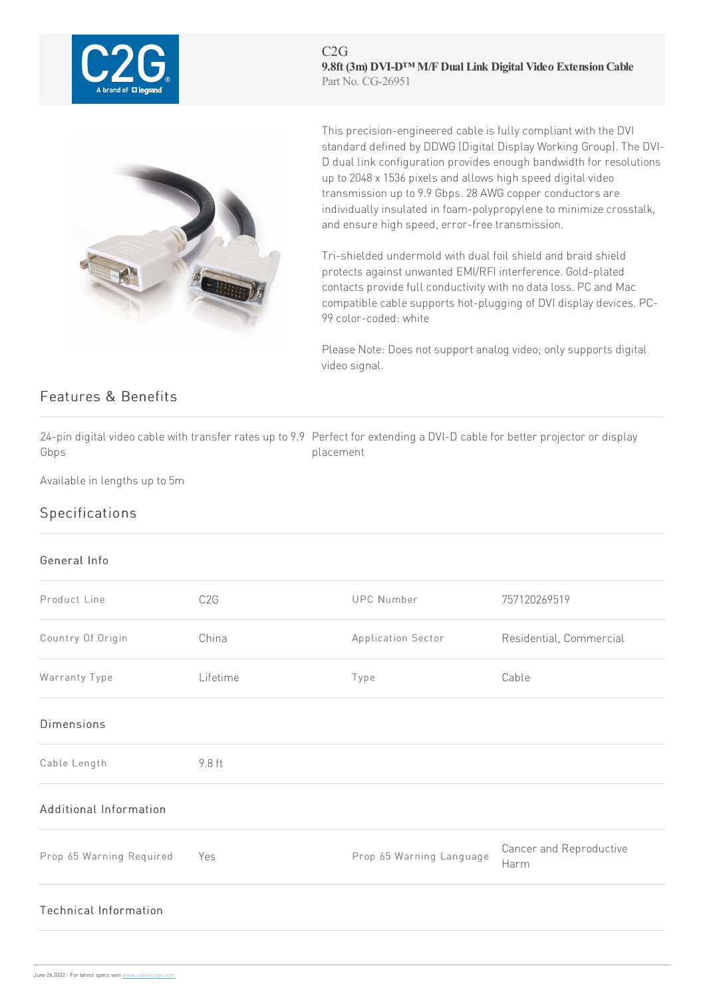

C2G **9.8ft (3m) DVI-D™ M/FDual Link Digital Video ExtensionCable** Part No. CG-26951



This precision-engineered cable is fully compliant with the DVI standard defined by DDWG (Digital Display Working Group).The DVI-D dual link configuration provides enough bandwidth for resolutions up to 2048 x 1536 pixels and allows high speed digital video transmission up to 9.9 Gbps. 28 AWG copper conductors are individually insulated in foam-polypropylene to minimize crosstalk, and ensure high speed, error-free transmission.

Tri-shielded undermold with dual foil shield and braid shield protects against unwanted EMI/RFI interference. Gold-plated contacts provide full conductivity with no data loss. PC and Mac compatible cable supports hot-plugging of DVI display devices. PC-99color-coded: white

Please Note: Does not support analog video; only supports digital video signal.

## Features & Benefits

24-pin digital video cable with transfer rates up to 9.9 Perfect for extending a DVI-D cable for better projector or display Gbps placement

Available in lengths up to 5m

## Specifications

## General Info

| Product Line             | C <sub>2</sub> G | <b>UPC Number</b>        | 757120269519                    |
|--------------------------|------------------|--------------------------|---------------------------------|
| Country Of Origin        | China            | Application Sector       | Residential, Commercial         |
| Warranty Type            | Lifetime         | Type                     | Cable                           |
| <b>Dimensions</b>        |                  |                          |                                 |
| Cable Length             | 9.8 ft           |                          |                                 |
| Additional Information   |                  |                          |                                 |
| Prop 65 Warning Required | Yes              | Prop 65 Warning Language | Cancer and Reproductive<br>Harm |
| Technical Information    |                  |                          |                                 |
|                          |                  |                          |                                 |